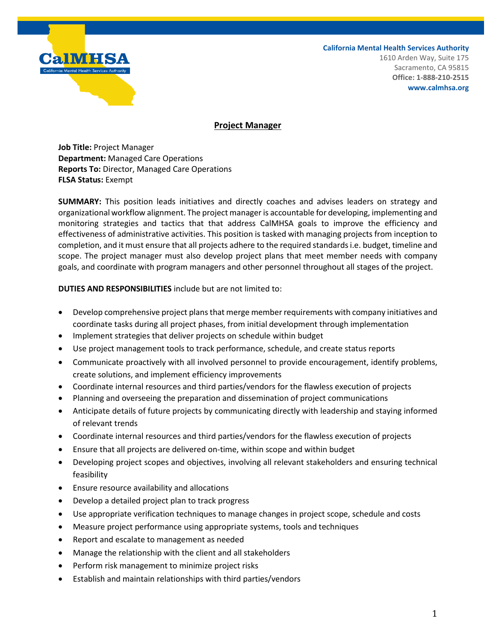

**California Mental Health Services Authority**

1610 Arden Way, Suite 175 Sacramento, CA 95815 **Office: 1-888-210-2515 www.calmhsa.org**

## **Project Manager**

**Job Title:** Project Manager **Department:** Managed Care Operations **Reports To:** Director, Managed Care Operations **FLSA Status:** Exempt

**SUMMARY:** This position leads initiatives and directly coaches and advises leaders on strategy and organizational workflow alignment. The project manager is accountable for developing, implementing and monitoring strategies and tactics that that address CalMHSA goals to improve the efficiency and effectiveness of administrative activities. This position is tasked with managing projects from inception to completion, and it must ensure that all projects adhere to the required standards i.e. budget, timeline and scope. The project manager must also develop project plans that meet member needs with company goals, and coordinate with program managers and other personnel throughout all stages of the project.

**DUTIES AND RESPONSIBILITIES** include but are not limited to:

- Develop comprehensive project plans that merge member requirements with company initiatives and coordinate tasks during all project phases, from initial development through implementation
- Implement strategies that deliver projects on schedule within budget
- Use project management tools to track performance, schedule, and create status reports
- Communicate proactively with all involved personnel to provide encouragement, identify problems, create solutions, and implement efficiency improvements
- Coordinate internal resources and third parties/vendors for the flawless execution of projects
- Planning and overseeing the preparation and dissemination of project communications
- Anticipate details of future projects by communicating directly with leadership and staying informed of relevant trends
- Coordinate internal resources and third parties/vendors for the flawless execution of projects
- Ensure that all projects are delivered on-time, within scope and within budget
- Developing project scopes and objectives, involving all relevant stakeholders and ensuring technical feasibility
- Ensure resource availability and allocations
- Develop a detailed project plan to track progress
- Use appropriate verification techniques to manage changes in project scope, schedule and costs
- Measure project performance using appropriate systems, tools and techniques
- Report and escalate to management as needed
- Manage the relationship with the client and all stakeholders
- Perform risk management to minimize project risks
- Establish and maintain relationships with third parties/vendors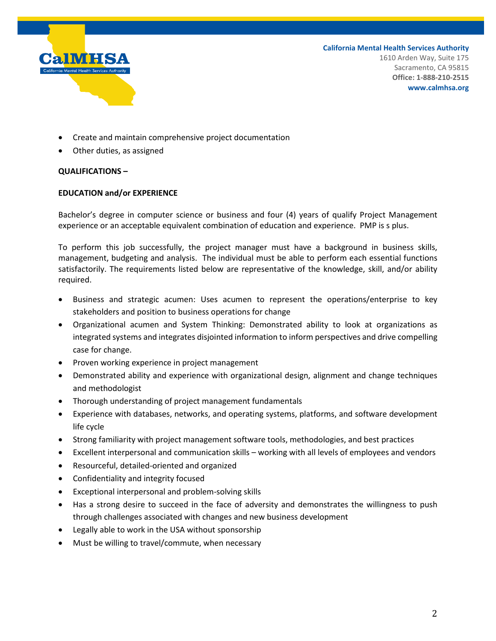

**California Mental Health Services Authority** 1610 Arden Way, Suite 175 Sacramento, CA 95815 **Office: 1-888-210-2515 www.calmhsa.org**

- Create and maintain comprehensive project documentation
- Other duties, as assigned

## **QUALIFICATIONS –**

## **EDUCATION and/or EXPERIENCE**

Bachelor's degree in computer science or business and four (4) years of qualify Project Management experience or an acceptable equivalent combination of education and experience. PMP is s plus.

To perform this job successfully, the project manager must have a background in business skills, management, budgeting and analysis. The individual must be able to perform each essential functions satisfactorily. The requirements listed below are representative of the knowledge, skill, and/or ability required.

- Business and strategic acumen: Uses acumen to represent the operations/enterprise to key stakeholders and position to business operations for change
- Organizational acumen and System Thinking: Demonstrated ability to look at organizations as integrated systems and integrates disjointed information to inform perspectives and drive compelling case for change.
- Proven working experience in project management
- Demonstrated ability and experience with organizational design, alignment and change techniques and methodologist
- Thorough understanding of project management fundamentals
- Experience with databases, networks, and operating systems, platforms, and software development life cycle
- Strong familiarity with project management software tools, methodologies, and best practices
- Excellent interpersonal and communication skills working with all levels of employees and vendors
- Resourceful, detailed-oriented and organized
- Confidentiality and integrity focused
- Exceptional interpersonal and problem-solving skills
- Has a strong desire to succeed in the face of adversity and demonstrates the willingness to push through challenges associated with changes and new business development
- Legally able to work in the USA without sponsorship
- Must be willing to travel/commute, when necessary